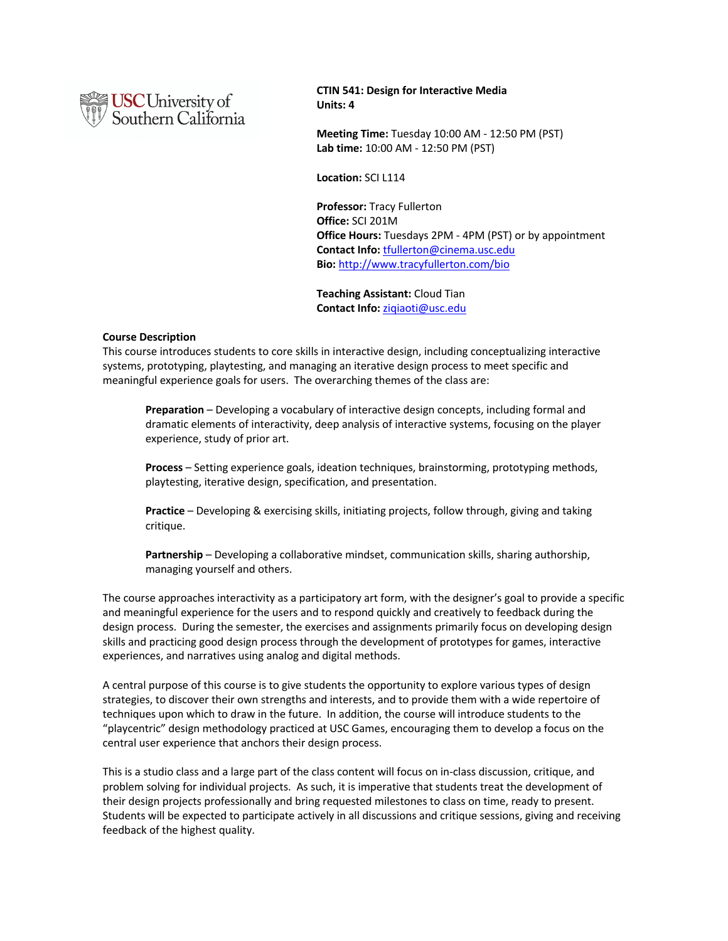

**CTIN 541: Design for Interactive Media Units: 4**

**Meeting Time:** Tuesday 10:00 AM - 12:50 PM (PST) **Lab time:** 10:00 AM - 12:50 PM (PST)

**Location:** SCI L114

**Professor:** Tracy Fullerton **Office:** SCI 201M **Office Hours:** Tuesdays 2PM - 4PM (PST) or by appointment **Contact Info:** tfullerton@cinema.usc.edu **Bio:** http://www.tracyfullerton.com/bio

**Teaching Assistant:** Cloud Tian **Contact Info:** ziqiaoti@usc.edu

#### **Course Description**

This course introduces students to core skills in interactive design, including conceptualizing interactive systems, prototyping, playtesting, and managing an iterative design process to meet specific and meaningful experience goals for users. The overarching themes of the class are:

**Preparation** – Developing a vocabulary of interactive design concepts, including formal and dramatic elements of interactivity, deep analysis of interactive systems, focusing on the player experience, study of prior art.

**Process** – Setting experience goals, ideation techniques, brainstorming, prototyping methods, playtesting, iterative design, specification, and presentation.

**Practice** – Developing & exercising skills, initiating projects, follow through, giving and taking critique.

**Partnership** – Developing a collaborative mindset, communication skills, sharing authorship, managing yourself and others.

The course approaches interactivity as a participatory art form, with the designer's goal to provide a specific and meaningful experience for the users and to respond quickly and creatively to feedback during the design process. During the semester, the exercises and assignments primarily focus on developing design skills and practicing good design process through the development of prototypes for games, interactive experiences, and narratives using analog and digital methods.

A central purpose of this course is to give students the opportunity to explore various types of design strategies, to discover their own strengths and interests, and to provide them with a wide repertoire of techniques upon which to draw in the future. In addition, the course will introduce students to the "playcentric" design methodology practiced at USC Games, encouraging them to develop a focus on the central user experience that anchors their design process.

This is a studio class and a large part of the class content will focus on in-class discussion, critique, and problem solving for individual projects. As such, it is imperative that students treat the development of their design projects professionally and bring requested milestones to class on time, ready to present. Students will be expected to participate actively in all discussions and critique sessions, giving and receiving feedback of the highest quality.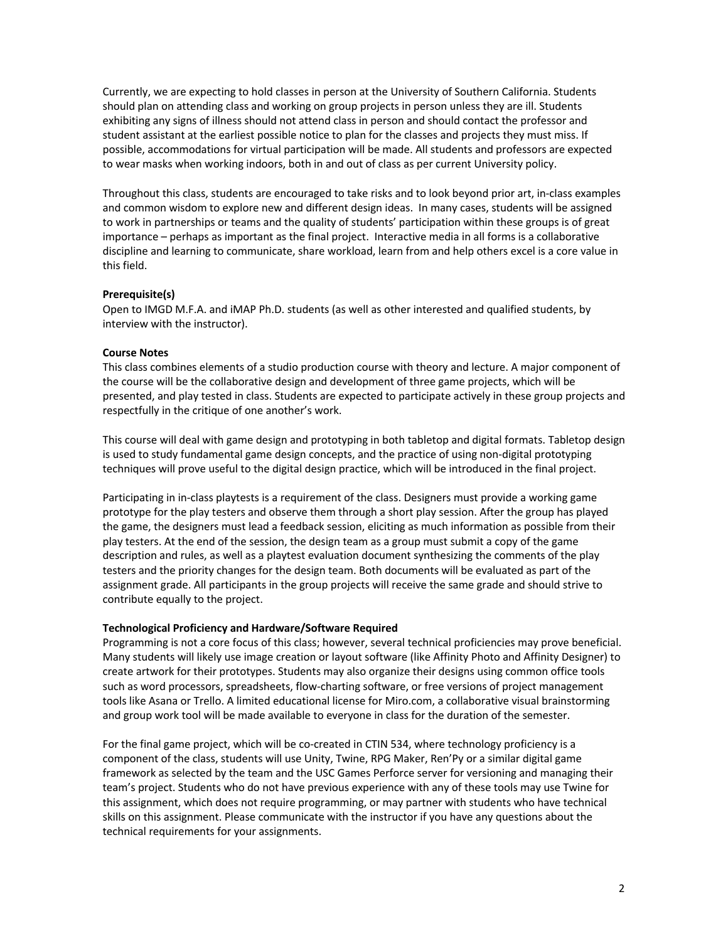Currently, we are expecting to hold classes in person at the University of Southern California. Students should plan on attending class and working on group projects in person unless they are ill. Students exhibiting any signs of illness should not attend class in person and should contact the professor and student assistant at the earliest possible notice to plan for the classes and projects they must miss. If possible, accommodations for virtual participation will be made. All students and professors are expected to wear masks when working indoors, both in and out of class as per current University policy.

Throughout this class, students are encouraged to take risks and to look beyond prior art, in-class examples and common wisdom to explore new and different design ideas. In many cases, students will be assigned to work in partnerships or teams and the quality of students' participation within these groups is of great importance – perhaps as important as the final project. Interactive media in all forms is a collaborative discipline and learning to communicate, share workload, learn from and help others excel is a core value in this field.

# **Prerequisite(s)**

Open to IMGD M.F.A. and iMAP Ph.D. students (as well as other interested and qualified students, by interview with the instructor).

# **Course Notes**

This class combines elements of a studio production course with theory and lecture. A major component of the course will be the collaborative design and development of three game projects, which will be presented, and play tested in class. Students are expected to participate actively in these group projects and respectfully in the critique of one another's work.

This course will deal with game design and prototyping in both tabletop and digital formats. Tabletop design is used to study fundamental game design concepts, and the practice of using non-digital prototyping techniques will prove useful to the digital design practice, which will be introduced in the final project.

Participating in in-class playtests is a requirement of the class. Designers must provide a working game prototype for the play testers and observe them through a short play session. After the group has played the game, the designers must lead a feedback session, eliciting as much information as possible from their play testers. At the end of the session, the design team as a group must submit a copy of the game description and rules, as well as a playtest evaluation document synthesizing the comments of the play testers and the priority changes for the design team. Both documents will be evaluated as part of the assignment grade. All participants in the group projects will receive the same grade and should strive to contribute equally to the project.

#### **Technological Proficiency and Hardware/Software Required**

Programming is not a core focus of this class; however, several technical proficiencies may prove beneficial. Many students will likely use image creation or layout software (like Affinity Photo and Affinity Designer) to create artwork for their prototypes. Students may also organize their designs using common office tools such as word processors, spreadsheets, flow-charting software, or free versions of project management tools like Asana or Trello. A limited educational license for Miro.com, a collaborative visual brainstorming and group work tool will be made available to everyone in class for the duration of the semester.

For the final game project, which will be co-created in CTIN 534, where technology proficiency is a component of the class, students will use Unity, Twine, RPG Maker, Ren'Py or a similar digital game framework as selected by the team and the USC Games Perforce server for versioning and managing their team's project. Students who do not have previous experience with any of these tools may use Twine for this assignment, which does not require programming, or may partner with students who have technical skills on this assignment. Please communicate with the instructor if you have any questions about the technical requirements for your assignments.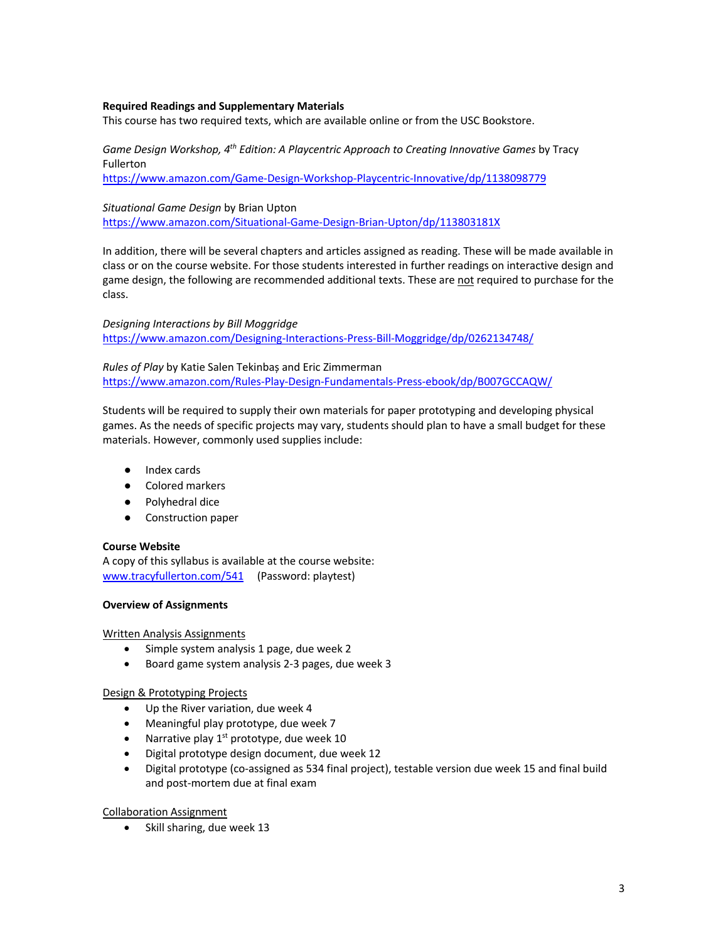# **Required Readings and Supplementary Materials**

This course has two required texts, which are available online or from the USC Bookstore.

*Game Design Workshop, 4th Edition: A Playcentric Approach to Creating Innovative Games* by Tracy Fullerton

https://www.amazon.com/Game-Design-Workshop-Playcentric-Innovative/dp/1138098779

# *Situational Game Design* by Brian Upton

https://www.amazon.com/Situational-Game-Design-Brian-Upton/dp/113803181X

In addition, there will be several chapters and articles assigned as reading. These will be made available in class or on the course website. For those students interested in further readings on interactive design and game design, the following are recommended additional texts. These are not required to purchase for the class.

*Designing Interactions by Bill Moggridge* https://www.amazon.com/Designing-Interactions-Press-Bill-Moggridge/dp/0262134748/

*Rules of Play* by Katie Salen Tekinbaș and Eric Zimmerman https://www.amazon.com/Rules-Play-Design-Fundamentals-Press-ebook/dp/B007GCCAQW/

Students will be required to supply their own materials for paper prototyping and developing physical games. As the needs of specific projects may vary, students should plan to have a small budget for these materials. However, commonly used supplies include:

- Index cards
- Colored markers
- Polyhedral dice
- Construction paper

# **Course Website**

A copy of this syllabus is available at the course website: www.tracyfullerton.com/541 (Password: playtest)

# **Overview of Assignments**

Written Analysis Assignments

- Simple system analysis 1 page, due week 2
- Board game system analysis 2-3 pages, due week 3

# Design & Prototyping Projects

- Up the River variation, due week 4
- Meaningful play prototype, due week 7
- Narrative play  $1<sup>st</sup>$  prototype, due week 10
- Digital prototype design document, due week 12
- Digital prototype (co-assigned as 534 final project), testable version due week 15 and final build and post-mortem due at final exam

#### Collaboration Assignment

• Skill sharing, due week 13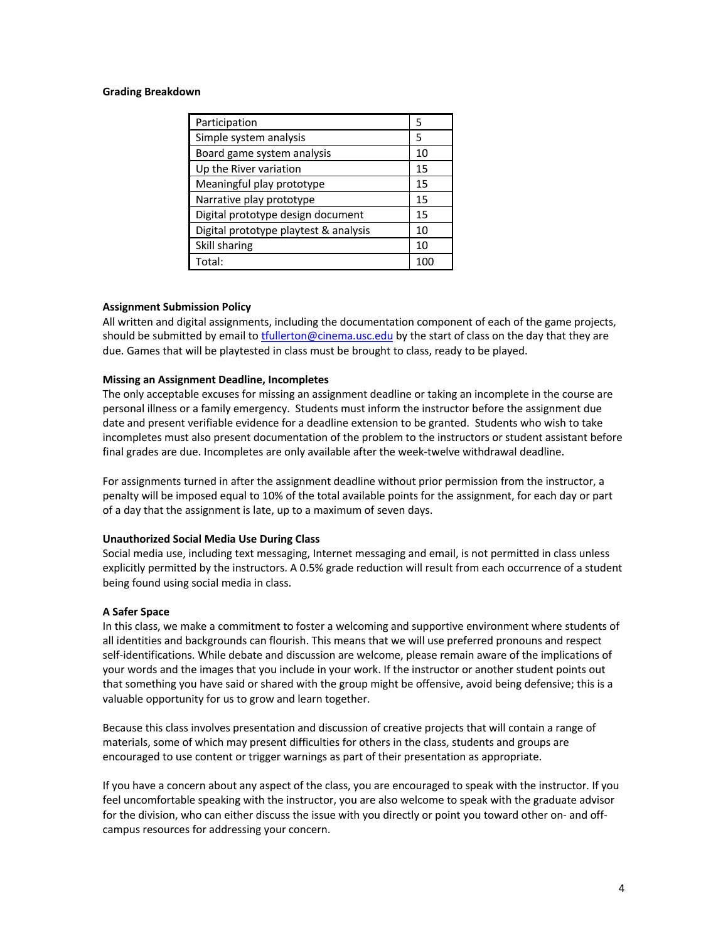# **Grading Breakdown**

| Participation                         | 5   |
|---------------------------------------|-----|
| Simple system analysis                | 5   |
| Board game system analysis            | 10  |
| Up the River variation                | 15  |
| Meaningful play prototype             | 15  |
| Narrative play prototype              | 15  |
| Digital prototype design document     | 15  |
| Digital prototype playtest & analysis | 10  |
| Skill sharing                         | 10  |
| Total:                                | 100 |

# **Assignment Submission Policy**

All written and digital assignments, including the documentation component of each of the game projects, should be submitted by email to tfullerton@cinema.usc.edu by the start of class on the day that they are due. Games that will be playtested in class must be brought to class, ready to be played.

# **Missing an Assignment Deadline, Incompletes**

The only acceptable excuses for missing an assignment deadline or taking an incomplete in the course are personal illness or a family emergency. Students must inform the instructor before the assignment due date and present verifiable evidence for a deadline extension to be granted. Students who wish to take incompletes must also present documentation of the problem to the instructors or student assistant before final grades are due. Incompletes are only available after the week-twelve withdrawal deadline.

For assignments turned in after the assignment deadline without prior permission from the instructor, a penalty will be imposed equal to 10% of the total available points for the assignment, for each day or part of a day that the assignment is late, up to a maximum of seven days.

#### **Unauthorized Social Media Use During Class**

Social media use, including text messaging, Internet messaging and email, is not permitted in class unless explicitly permitted by the instructors. A 0.5% grade reduction will result from each occurrence of a student being found using social media in class.

#### **A Safer Space**

In this class, we make a commitment to foster a welcoming and supportive environment where students of all identities and backgrounds can flourish. This means that we will use preferred pronouns and respect self-identifications. While debate and discussion are welcome, please remain aware of the implications of your words and the images that you include in your work. If the instructor or another student points out that something you have said or shared with the group might be offensive, avoid being defensive; this is a valuable opportunity for us to grow and learn together.

Because this class involves presentation and discussion of creative projects that will contain a range of materials, some of which may present difficulties for others in the class, students and groups are encouraged to use content or trigger warnings as part of their presentation as appropriate.

If you have a concern about any aspect of the class, you are encouraged to speak with the instructor. If you feel uncomfortable speaking with the instructor, you are also welcome to speak with the graduate advisor for the division, who can either discuss the issue with you directly or point you toward other on- and offcampus resources for addressing your concern.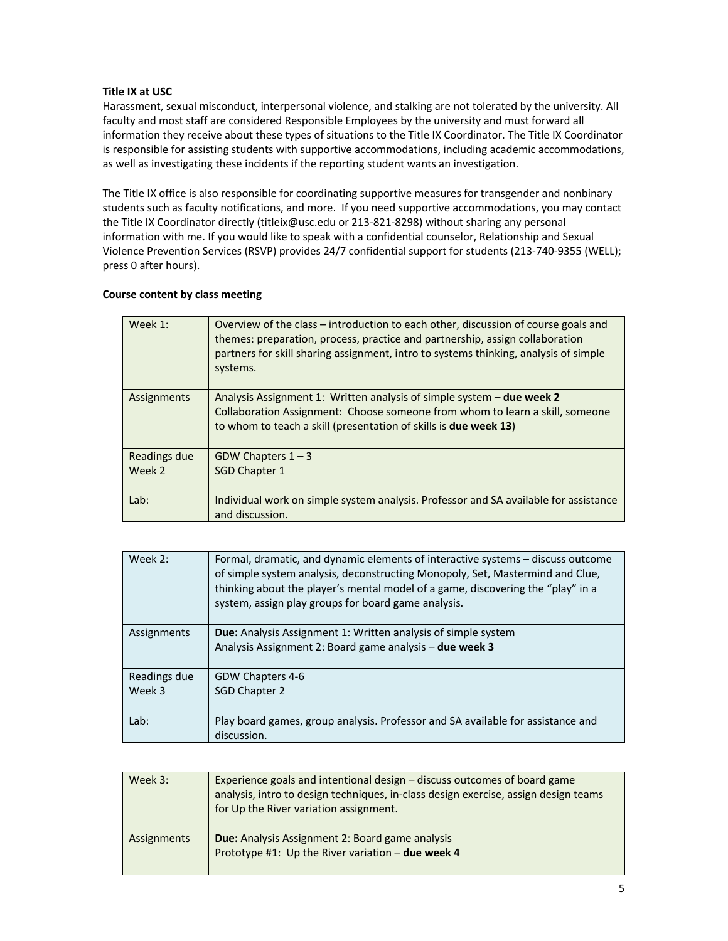# **Title IX at USC**

Harassment, sexual misconduct, interpersonal violence, and stalking are not tolerated by the university. All faculty and most staff are considered Responsible Employees by the university and must forward all information they receive about these types of situations to the Title IX Coordinator. The Title IX Coordinator is responsible for assisting students with supportive accommodations, including academic accommodations, as well as investigating these incidents if the reporting student wants an investigation.

The Title IX office is also responsible for coordinating supportive measures for transgender and nonbinary students such as faculty notifications, and more. If you need supportive accommodations, you may contact the Title IX Coordinator directly (titleix@usc.edu or 213-821-8298) without sharing any personal information with me. If you would like to speak with a confidential counselor, Relationship and Sexual Violence Prevention Services (RSVP) provides 24/7 confidential support for students (213-740-9355 (WELL); press 0 after hours).

# **Course content by class meeting**

| Week 1:      | Overview of the class – introduction to each other, discussion of course goals and<br>themes: preparation, process, practice and partnership, assign collaboration<br>partners for skill sharing assignment, intro to systems thinking, analysis of simple<br>systems. |
|--------------|------------------------------------------------------------------------------------------------------------------------------------------------------------------------------------------------------------------------------------------------------------------------|
| Assignments  | Analysis Assignment 1: Written analysis of simple system – due week 2                                                                                                                                                                                                  |
|              | Collaboration Assignment: Choose someone from whom to learn a skill, someone                                                                                                                                                                                           |
|              | to whom to teach a skill (presentation of skills is due week 13)                                                                                                                                                                                                       |
|              |                                                                                                                                                                                                                                                                        |
| Readings due | GDW Chapters $1 - 3$                                                                                                                                                                                                                                                   |
| Week 2       | <b>SGD Chapter 1</b>                                                                                                                                                                                                                                                   |
|              |                                                                                                                                                                                                                                                                        |
| Lab:         | Individual work on simple system analysis. Professor and SA available for assistance                                                                                                                                                                                   |
|              | and discussion.                                                                                                                                                                                                                                                        |

| Formal, dramatic, and dynamic elements of interactive systems – discuss outcome<br>of simple system analysis, deconstructing Monopoly, Set, Mastermind and Clue,<br>thinking about the player's mental model of a game, discovering the "play" in a<br>system, assign play groups for board game analysis. |
|------------------------------------------------------------------------------------------------------------------------------------------------------------------------------------------------------------------------------------------------------------------------------------------------------------|
| <b>Due:</b> Analysis Assignment 1: Written analysis of simple system<br>Analysis Assignment 2: Board game analysis - due week 3                                                                                                                                                                            |
| GDW Chapters 4-6                                                                                                                                                                                                                                                                                           |
| SGD Chapter 2                                                                                                                                                                                                                                                                                              |
| Play board games, group analysis. Professor and SA available for assistance and<br>discussion.                                                                                                                                                                                                             |
|                                                                                                                                                                                                                                                                                                            |

| Week 3:     | Experience goals and intentional design - discuss outcomes of board game<br>analysis, intro to design techniques, in-class design exercise, assign design teams<br>for Up the River variation assignment. |
|-------------|-----------------------------------------------------------------------------------------------------------------------------------------------------------------------------------------------------------|
| Assignments | <b>Due:</b> Analysis Assignment 2: Board game analysis<br>Prototype #1: Up the River variation - due week 4                                                                                               |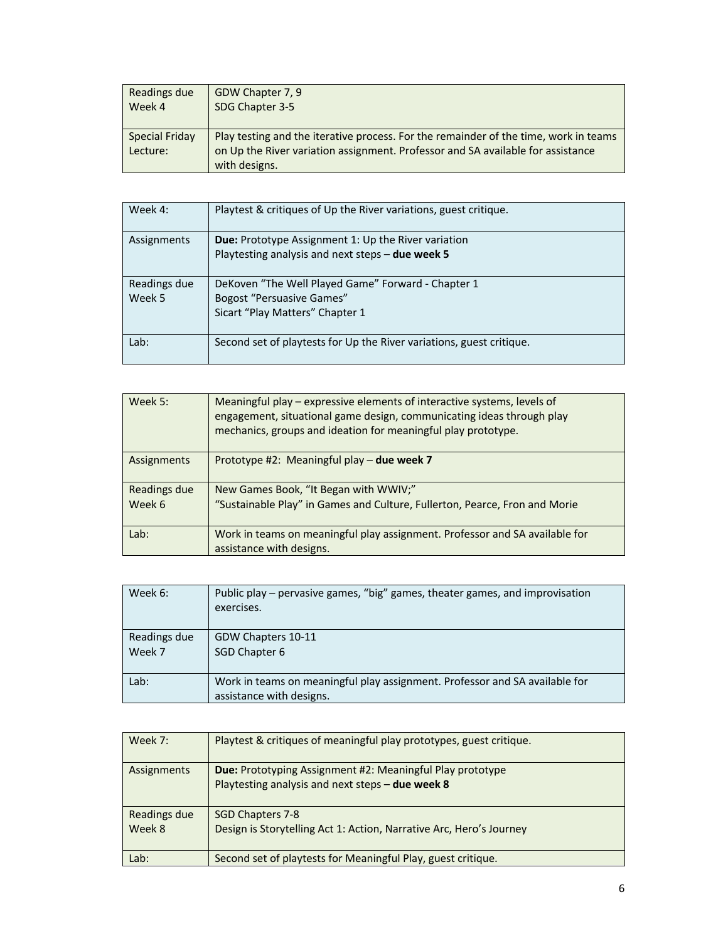| Readings due                      | GDW Chapter 7, 9                                                                                                                                                                         |
|-----------------------------------|------------------------------------------------------------------------------------------------------------------------------------------------------------------------------------------|
| Week 4                            | SDG Chapter 3-5                                                                                                                                                                          |
| <b>Special Friday</b><br>Lecture: | Play testing and the iterative process. For the remainder of the time, work in teams<br>on Up the River variation assignment. Professor and SA available for assistance<br>with designs. |

| Week 4:                | Playtest & critiques of Up the River variations, guest critique.                                                          |
|------------------------|---------------------------------------------------------------------------------------------------------------------------|
| Assignments            | <b>Due:</b> Prototype Assignment 1: Up the River variation<br>Playtesting analysis and next steps - due week 5            |
| Readings due<br>Week 5 | DeKoven "The Well Played Game" Forward - Chapter 1<br><b>Bogost "Persuasive Games"</b><br>Sicart "Play Matters" Chapter 1 |
| Lab:                   | Second set of playtests for Up the River variations, guest critique.                                                      |

| Week 5:      | Meaningful play – expressive elements of interactive systems, levels of<br>engagement, situational game design, communicating ideas through play<br>mechanics, groups and ideation for meaningful play prototype. |
|--------------|-------------------------------------------------------------------------------------------------------------------------------------------------------------------------------------------------------------------|
| Assignments  | Prototype #2: Meaningful play - due week 7                                                                                                                                                                        |
| Readings due | New Games Book, "It Began with WWIV;"                                                                                                                                                                             |
| Week 6       | "Sustainable Play" in Games and Culture, Fullerton, Pearce, Fron and Morie                                                                                                                                        |
| Lab:         | Work in teams on meaningful play assignment. Professor and SA available for                                                                                                                                       |
|              | assistance with designs.                                                                                                                                                                                          |

| Week 6:                | Public play – pervasive games, "big" games, theater games, and improvisation<br>exercises.              |
|------------------------|---------------------------------------------------------------------------------------------------------|
| Readings due<br>Week 7 | GDW Chapters 10-11<br>SGD Chapter 6                                                                     |
| Lab:                   | Work in teams on meaningful play assignment. Professor and SA available for<br>assistance with designs. |

| Week 7:                | Playtest & critiques of meaningful play prototypes, guest critique.                                                  |
|------------------------|----------------------------------------------------------------------------------------------------------------------|
| Assignments            | <b>Due:</b> Prototyping Assignment #2: Meaningful Play prototype<br>Playtesting analysis and next steps - due week 8 |
| Readings due<br>Week 8 | SGD Chapters 7-8<br>Design is Storytelling Act 1: Action, Narrative Arc, Hero's Journey                              |
| Lab:                   | Second set of playtests for Meaningful Play, guest critique.                                                         |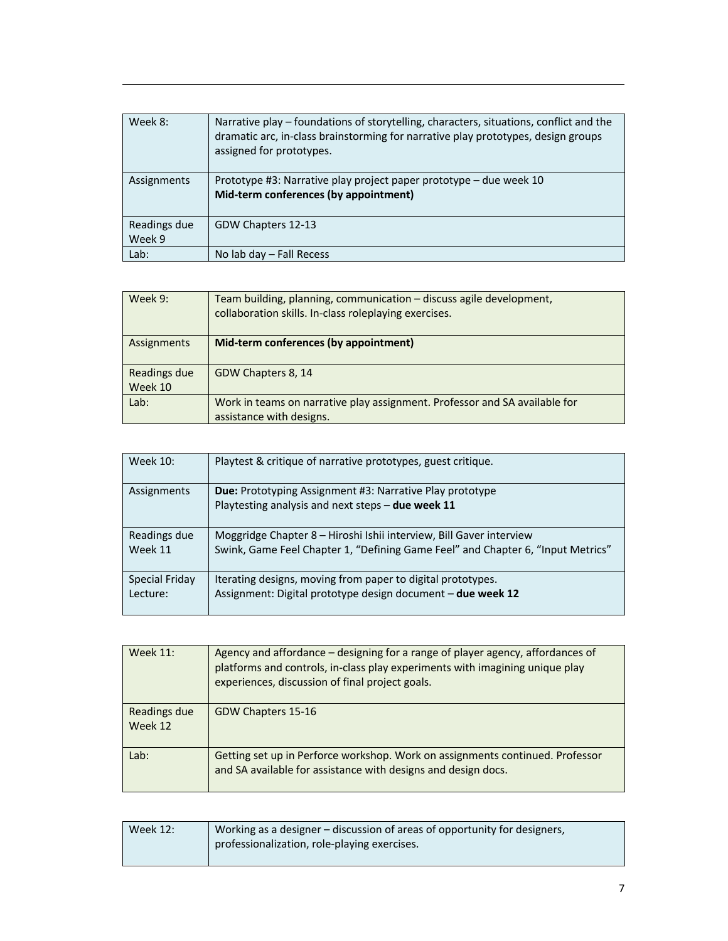| Week 8:                | Narrative play – foundations of storytelling, characters, situations, conflict and the<br>dramatic arc, in-class brainstorming for narrative play prototypes, design groups<br>assigned for prototypes. |
|------------------------|---------------------------------------------------------------------------------------------------------------------------------------------------------------------------------------------------------|
| Assignments            | Prototype #3: Narrative play project paper prototype - due week 10<br>Mid-term conferences (by appointment)                                                                                             |
| Readings due<br>Week 9 | GDW Chapters 12-13                                                                                                                                                                                      |
| Lab:                   | No lab day $-$ Fall Recess                                                                                                                                                                              |

| Week 9:                 | Team building, planning, communication - discuss agile development,<br>collaboration skills. In-class roleplaying exercises. |
|-------------------------|------------------------------------------------------------------------------------------------------------------------------|
| Assignments             | Mid-term conferences (by appointment)                                                                                        |
| Readings due<br>Week 10 | GDW Chapters 8, 14                                                                                                           |
| Lab:                    | Work in teams on narrative play assignment. Professor and SA available for<br>assistance with designs.                       |

| Week 10:       | Playtest & critique of narrative prototypes, guest critique.                                                         |
|----------------|----------------------------------------------------------------------------------------------------------------------|
| Assignments    | <b>Due:</b> Prototyping Assignment #3: Narrative Play prototype<br>Playtesting analysis and next steps - due week 11 |
| Readings due   | Moggridge Chapter 8 – Hiroshi Ishii interview, Bill Gaver interview                                                  |
| Week 11        | Swink, Game Feel Chapter 1, "Defining Game Feel" and Chapter 6, "Input Metrics"                                      |
| Special Friday | Iterating designs, moving from paper to digital prototypes.                                                          |
| Lecture:       | Assignment: Digital prototype design document - due week 12                                                          |

| <b>Week 11:</b>         | Agency and affordance – designing for a range of player agency, affordances of<br>platforms and controls, in-class play experiments with imagining unique play<br>experiences, discussion of final project goals. |
|-------------------------|-------------------------------------------------------------------------------------------------------------------------------------------------------------------------------------------------------------------|
| Readings due<br>Week 12 | GDW Chapters 15-16                                                                                                                                                                                                |
| Lab:                    | Getting set up in Perforce workshop. Work on assignments continued. Professor<br>and SA available for assistance with designs and design docs.                                                                    |

| Week $12:$ | Working as a designer – discussion of areas of opportunity for designers, |
|------------|---------------------------------------------------------------------------|
|            | professionalization, role-playing exercises.                              |
|            |                                                                           |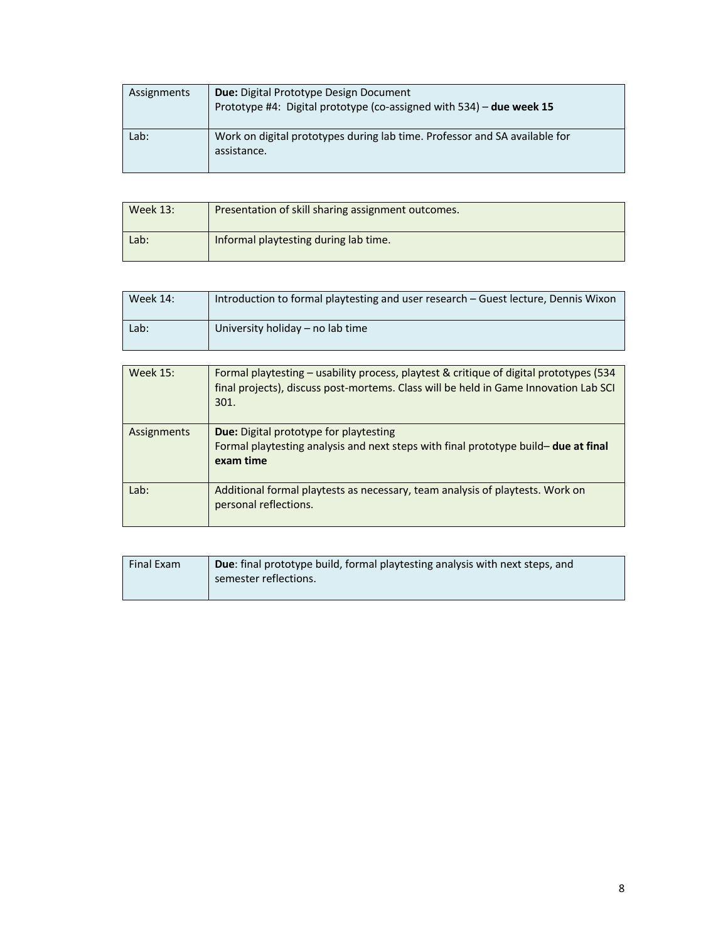| Assignments | <b>Due:</b> Digital Prototype Design Document<br>Prototype #4: Digital prototype (co-assigned with 534) - due week 15 |
|-------------|-----------------------------------------------------------------------------------------------------------------------|
| Lab:        | Work on digital prototypes during lab time. Professor and SA available for<br>assistance.                             |

| Week 13: | Presentation of skill sharing assignment outcomes. |
|----------|----------------------------------------------------|
| Lab:     | Informal playtesting during lab time.              |

| <b>Week 14:</b> | Introduction to formal playtesting and user research – Guest lecture, Dennis Wixon |
|-----------------|------------------------------------------------------------------------------------|
| Lab:            | University holiday – no lab time                                                   |

| <b>Week 15:</b> | Formal playtesting – usability process, playtest & critique of digital prototypes (534<br>final projects), discuss post-mortems. Class will be held in Game Innovation Lab SCI<br>301. |
|-----------------|----------------------------------------------------------------------------------------------------------------------------------------------------------------------------------------|
| Assignments     | <b>Due:</b> Digital prototype for playtesting<br>Formal playtesting analysis and next steps with final prototype build- due at final<br>exam time                                      |
| Lab:            | Additional formal playtests as necessary, team analysis of playtests. Work on<br>personal reflections.                                                                                 |

| Final Exam | <b>Due:</b> final prototype build, formal playtesting analysis with next steps, and<br>semester reflections. |
|------------|--------------------------------------------------------------------------------------------------------------|
|            |                                                                                                              |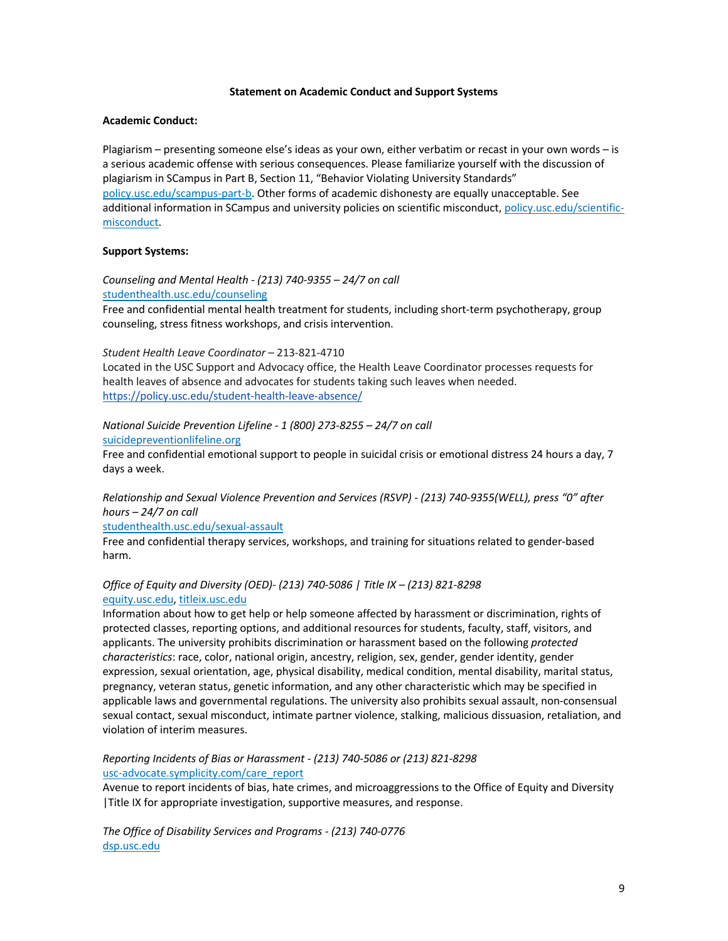# **Statement on Academic Conduct and Support Systems**

#### **Academic Conduct:**

Plagiarism – presenting someone else's ideas as your own, either verbatim or recast in your own words – is a serious academic offense with serious consequences. Please familiarize yourself with the discussion of plagiarism in SCampus in Part B, Section 11, "Behavior Violating University Standards" policy.usc.edu/scampus-part-b. Other forms of academic dishonesty are equally unacceptable. See additional information in SCampus and university policies on scientific misconduct, policy.usc.edu/scientificmisconduct.

# **Support Systems:**

*Counseling and Mental Health - (213) 740-9355 – 24/7 on call* studenthealth.usc.edu/counseling

Free and confidential mental health treatment for students, including short-term psychotherapy, group counseling, stress fitness workshops, and crisis intervention.

*Student Health Leave Coordinator* – 213-821-4710

Located in the USC Support and Advocacy office, the Health Leave Coordinator processes requests for health leaves of absence and advocates for students taking such leaves when needed. https://policy.usc.edu/student-health-leave-absence/

# *National Suicide Prevention Lifeline - 1 (800) 273-8255 – 24/7 on call*

suicidepreventionlifeline.org

Free and confidential emotional support to people in suicidal crisis or emotional distress 24 hours a day, 7 days a week.

*Relationship and Sexual Violence Prevention and Services (RSVP) - (213) 740-9355(WELL), press "0" after hours – 24/7 on call*

studenthealth.usc.edu/sexual-assault

Free and confidential therapy services, workshops, and training for situations related to gender-based harm.

# *Office of Equity and Diversity (OED)- (213) 740-5086 | Title IX – (213) 821-8298* equity.usc.edu, titleix.usc.edu

Information about how to get help or help someone affected by harassment or discrimination, rights of protected classes, reporting options, and additional resources for students, faculty, staff, visitors, and applicants. The university prohibits discrimination or harassment based on the following *protected characteristics*: race, color, national origin, ancestry, religion, sex, gender, gender identity, gender expression, sexual orientation, age, physical disability, medical condition, mental disability, marital status, pregnancy, veteran status, genetic information, and any other characteristic which may be specified in applicable laws and governmental regulations. The university also prohibits sexual assault, non-consensual sexual contact, sexual misconduct, intimate partner violence, stalking, malicious dissuasion, retaliation, and violation of interim measures.

# *Reporting Incidents of Bias or Harassment - (213) 740-5086 or (213) 821-8298* usc-advocate.symplicity.com/care\_report

Avenue to report incidents of bias, hate crimes, and microaggressions to the Office of Equity and Diversity |Title IX for appropriate investigation, supportive measures, and response.

*The Office of Disability Services and Programs - (213) 740-0776* dsp.usc.edu